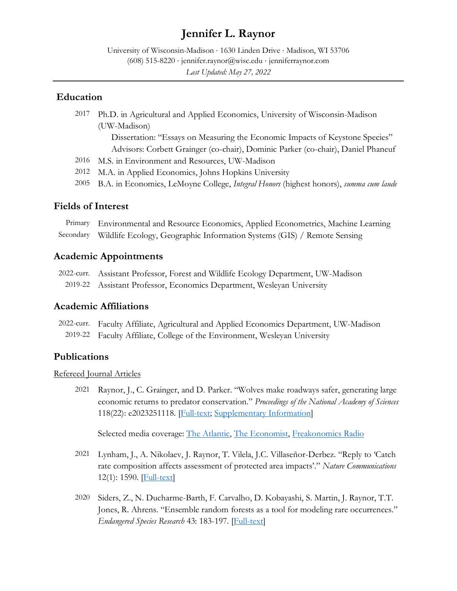# **Jennifer L. Raynor**

University of Wisconsin-Madison ⋅ 1630 Linden Drive ⋅ Madison, WI 53706 (608) 515-8220 ⋅ [jennifer.raynor@wisc.edu](mailto:jennifer.raynor@wisc.edu) ⋅ [jenniferraynor.com](http://jenniferraynor.com/) *Last Updated: May 27, 2022*

#### **Education**

2017 Ph.D. in Agricultural and Applied Economics, University of Wisconsin-Madison (UW-Madison)

> Dissertation: "Essays on Measuring the Economic Impacts of Keystone Species" Advisors: Corbett Grainger (co-chair), Dominic Parker (co-chair), Daniel Phaneuf

- 2016 M.S. in Environment and Resources, UW-Madison
- 2012 M.A. in Applied Economics, Johns Hopkins University
- 2005 B.A. in Economics, LeMoyne College, *Integral Honors* (highest honors), *summa cum laude*

### **Fields of Interest**

Primary Environmental and Resource Economics, Applied Econometrics, Machine Learning Secondary Wildlife Ecology, Geographic Information Systems (GIS) / Remote Sensing

#### **Academic Appointments**

2022-curr. Assistant Professor, Forest and Wildlife Ecology Department, UW-Madison 2019-22 Assistant Professor, Economics Department, Wesleyan University

#### **Academic Affiliations**

2022-curr. Faculty Affiliate, Agricultural and Applied Economics Department, UW-Madison 2019-22 Faculty Affiliate, College of the Environment, Wesleyan University

### **Publications**

#### Refereed Journal Articles

2021 [Raynor, J., C. Grainger, and D. Parker. "Wolves make roadways safer, generating large](https://doi.org/10.1073/pnas.2023251118)  [economic returns to predator conservation."](https://doi.org/10.1073/pnas.2023251118) *Proceedings of the National Academy of Sciences* 118(22): [e2023251118.](https://doi.org/10.1073/pnas.2023251118) [\[Full-text;](https://jenniferraynor.files.wordpress.com/2021/05/raynor_et_al._wolves_roadways_postprint.pdf) [Supplementary Information\]](https://jenniferraynor.files.wordpress.com/2021/05/raynor_et_al._wolves_roadways_si_postprint.pdf)

Selected media coverage: [The Atlantic,](https://www.theatlantic.com/science/archive/2021/05/wolves-reduce-deer-vehicle-collisions/618978/?utm_source=feed) [The Economist,](https://espresso.economist.com/eb9c0e8145b126a87392d98bb1fd81c3) [Freakonomics Radio](https://freakonomics.com/podcast/can-the-big-bad-wolf-save-your-life/)

- 2021 [Lynham, J., A. Nikolaev, J. Raynor, T. Vilela, J.C. Villaseñor-Derbez. "Reply to 'Catch](https://doi.org/10.1038/s41467-021-21608-3)  [rate composition affects assessment of protected area impacts'."](https://doi.org/10.1038/s41467-021-21608-3) *Nature Communications* [12\(1\):](https://doi.org/10.1038/s41467-021-21608-3) 1590. [\[Full-text\]](https://doi.org/10.1038/s41467-021-21608-3)
- 2020 [Siders, Z., N. Ducharme-Barth, F. Carvalho,](https://doi.org/10.3354/esr01060) D. Kobayashi, S. Martin, J. Raynor, T.T. [Jones, R. Ahrens. "Ensemble random forests as a tool for modeling rare occurrences."](https://doi.org/10.3354/esr01060)  *[Endangered Species Research](https://doi.org/10.3354/esr01060)* 43: 183-197. [\[Full-text\]](https://doi.org/10.3354/esr01060)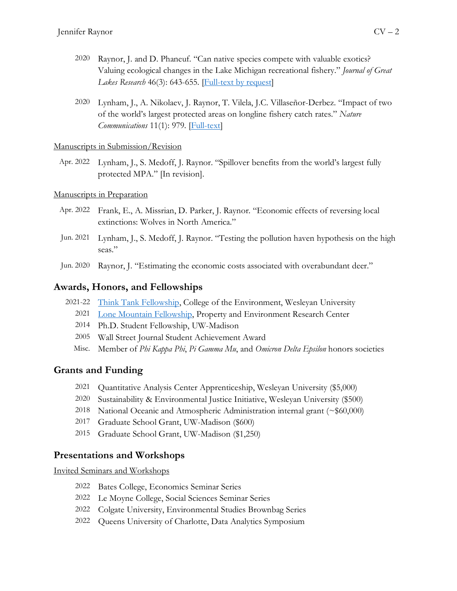- 2020 [Raynor, J. and D. Phaneuf. "Can native species compete with valuable exotics?](https://doi.org/10.1016/j.jglr.2020.03.012)  [Valuing ecological changes in the Lake Michigan recreational fishery."](https://doi.org/10.1016/j.jglr.2020.03.012) *Journal of Great*  Lakes Research [46\(3\): 643-655.](https://doi.org/10.1016/j.jglr.2020.03.012) [\[Full-text by request\]](https://www.researchgate.net/publication/340813293_Can_native_species_compete_with_valuable_exotics_Valuing_ecological_changes_in_the_Lake_Michigan_recreational_fishery)
- 2020 [Lynham, J., A. Nikolaev, J. Raynor, T. Vilela, J.C. Villaseñor-Derbez. "Impact of two](https://doi.org/10.1038/s41467-020-14588-3)  [of the world's largest protected areas on longline fishery catch rates."](https://doi.org/10.1038/s41467-020-14588-3) *Nature [Communications](https://doi.org/10.1038/s41467-020-14588-3)* 11(1): 979. [\[Full-text\]](https://doi.org/10.1038/s41467-020-14588-3)

#### Manuscripts in Submission/Revision

Apr. 2022 Lynham, J., S. Medoff, J. Raynor. "Spillover benefits from the world's largest fully protected MPA." [In revision].

#### Manuscripts in Preparation

- Apr. 2022 Frank, E., A. Missrian, D. Parker, J. Raynor. "Economic effects of reversing local extinctions: Wolves in North America."
- Jun. 2021 Lynham, J., S. Medoff, J. Raynor. "Testing the pollution haven hypothesis on the high seas."
- Jun. 2020 Raynor, J. "Estimating the economic costs associated with overabundant deer."

### **Awards, Honors, and Fellowships**

- 2021-22 [Think Tank Fellowship,](https://www.wesleyan.edu/coe/thinktank/index.html) College of the Environment, Wesleyan University
	- 2021 [Lone Mountain Fellowship,](https://www.perc.org/programs/scholars/lone-mountain-fellowship/) Property and Environment Research Center
	- 2014 Ph.D. Student Fellowship, UW-Madison
	- 2005 Wall Street Journal Student Achievement Award
	- Misc. Member of *Phi Kappa Phi*, *Pi Gamma Mu*, and *Omicron Delta Epsilon* honors societies

### **Grants and Funding**

- 2021 Quantitative Analysis Center Apprenticeship, Wesleyan University (\$5,000)
- 2020 Sustainability & Environmental Justice Initiative, Wesleyan University (\$500)
- 2018 National Oceanic and Atmospheric Administration internal grant (~\$60,000)
- 2017 Graduate School Grant, UW-Madison (\$600)
- 2015 Graduate School Grant, UW-Madison (\$1,250)

### **Presentations and Workshops**

Invited Seminars and Workshops

- 2022 Bates College, Economics Seminar Series
- 2022 Le Moyne College, Social Sciences Seminar Series
- 2022 Colgate University, Environmental Studies Brownbag Series
- 2022 Queens University of Charlotte, Data Analytics Symposium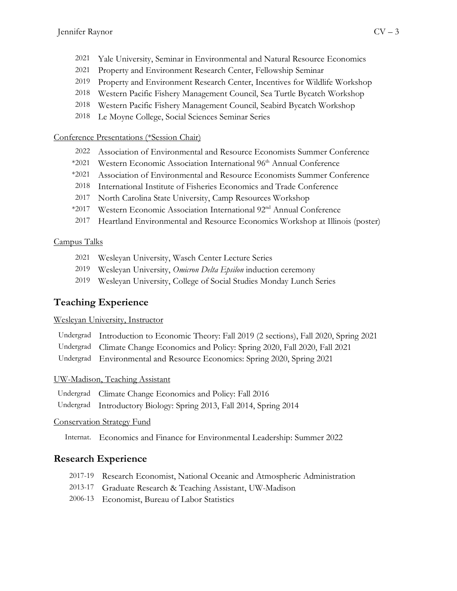- 2021 Property and Environment Research Center, Fellowship Seminar
- 2019 Property and Environment Research Center, Incentives for Wildlife Workshop
- 2018 Western Pacific Fishery Management Council, Sea Turtle Bycatch Workshop
- 2018 Western Pacific Fishery Management Council, Seabird Bycatch Workshop
- 2018 Le Moyne College, Social Sciences Seminar Series

## Conference Presentations (\*Session Chair)

- 2022 Association of Environmental and Resource Economists Summer Conference
- \*2021 Western Economic Association International 96<sup>th</sup> Annual Conference
- \*2021 Association of Environmental and Resource Economists Summer Conference
- 2018 International Institute of Fisheries Economics and Trade Conference
- 2017 North Carolina State University, Camp Resources Workshop
- \*2017 Western Economic Association International 92nd Annual Conference
- 2017 Heartland Environmental and Resource Economics Workshop at Illinois (poster)

# Campus Talks

- 2021 Wesleyan University, Wasch Center Lecture Series
- 2019 Wesleyan University, *Omicron Delta Epsilon* induction ceremony
- 2019 Wesleyan University, College of Social Studies Monday Lunch Series

# **Teaching Experience**

### Wesleyan University, Instructor

| Undergrad Introduction to Economic Theory: Fall 2019 (2 sections), Fall 2020, Spring 2021 |
|-------------------------------------------------------------------------------------------|
| Undergrad Climate Change Economics and Policy: Spring 2020, Fall 2020, Fall 2021          |
| Undergrad Environmental and Resource Economics: Spring 2020, Spring 2021                  |

# UW-Madison, Teaching Assistant

- Undergrad Climate Change Economics and Policy: Fall 2016
- Undergrad Introductory Biology: Spring 2013, Fall 2014, Spring 2014

# Conservation Strategy Fund

Internat. Economics and Finance for Environmental Leadership: Summer 2022

# **Research Experience**

- 2017-19 Research Economist, National Oceanic and Atmospheric Administration
- 2013-17 Graduate Research & Teaching Assistant, UW-Madison
- 2006-13 Economist, Bureau of Labor Statistics